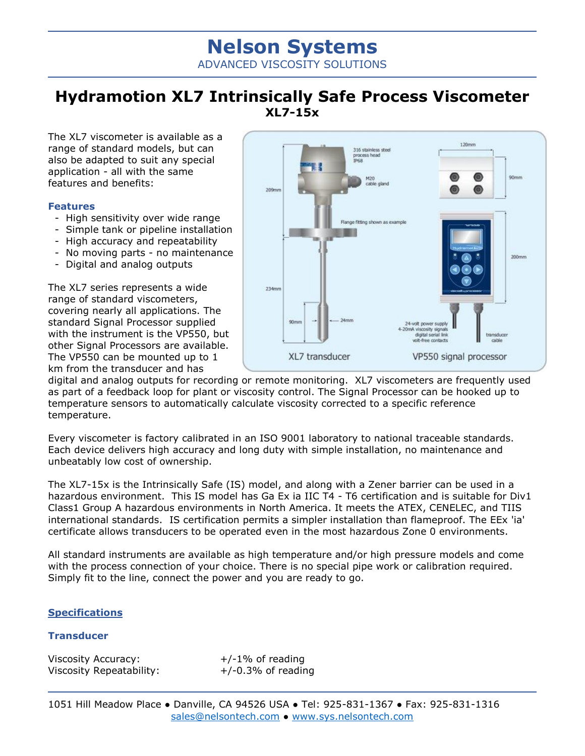# **Nelson Systems** ADVANCED VISCOSITY SOLUTIONS

# **Hydramotion XL7 Intrinsically Safe Process Viscometer XL7-15x**

The XL7 viscometer is available as a range of standard models, but can also be adapted to suit any special application - all with the same features and benefits:

#### **Features**

- High sensitivity over wide range
- Simple tank or pipeline installation
- High accuracy and repeatability
- No moving parts no maintenance
- Digital and analog outputs

The XL7 series represents a wide range of standard viscometers, covering nearly all applications. The standard Signal Processor supplied with the instrument is the VP550, but other Signal Processors are available. The VP550 can be mounted up to 1 km from the transducer and has



digital and analog outputs for recording or remote monitoring. XL7 viscometers are frequently used as part of a feedback loop for plant or viscosity control. The Signal Processor can be hooked up to temperature sensors to automatically calculate viscosity corrected to a specific reference temperature.

Every viscometer is factory calibrated in an ISO 9001 laboratory to national traceable standards. Each device delivers high accuracy and long duty with simple installation, no maintenance and unbeatably low cost of ownership.

The XL7-15x is the Intrinsically Safe (IS) model, and along with a Zener barrier can be used in a hazardous environment. This IS model has Ga Ex ia IIC T4 - T6 certification and is suitable for Div1 Class1 Group A hazardous environments in North America. It meets the ATEX, CENELEC, and TIIS international standards. IS certification permits a simpler installation than flameproof. The EEx 'ia' certificate allows transducers to be operated even in the most hazardous Zone 0 environments.

All standard instruments are available as high temperature and/or high pressure models and come with the process connection of your choice. There is no special pipe work or calibration required. Simply fit to the line, connect the power and you are ready to go.

### **Specifications**

#### **Transducer**

Viscosity Accuracy:  $+/-1\%$  of reading Viscosity Repeatability:  $+/-0.3%$  of reading